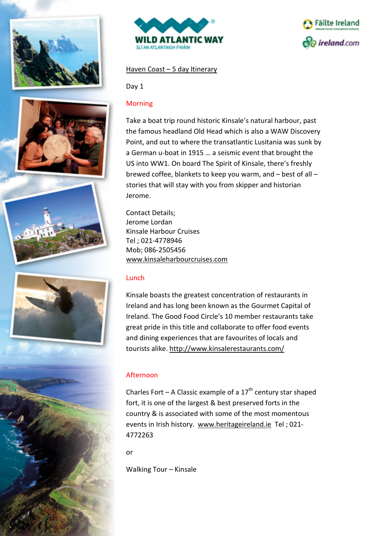











### Haven Coast – 5 day Itinerary

Day 1

#### Morning

Take a boat trip round historic Kinsale's natural harbour, past the famous headland Old Head which is also a WAW Discovery Point, and out to where the transatlantic Lusitania was sunk by a German u-boat in 1915 … a seismic event that brought the US into WW1. On board The Spirit of Kinsale, there's freshly brewed coffee, blankets to keep you warm, and – best of all – stories that will stay with you from skipper and historian Jerome.

Contact Details; Jerome Lordan Kinsale Harbour Cruises Tel ; 021-4778946 Mob; 086-2505456 [www.kinsaleharbourcruises.com](http://www.kinsaleharbourcruises.com/)

### Lunch

Kinsale boasts the greatest concentration of restaurants in Ireland and has long been known as the Gourmet Capital of Ireland. The Good Food Circle's 10 member restaurants take great pride in this title and collaborate to offer food events and dining experiences that are favourites of locals and tourists alike. <http://www.kinsalerestaurants.com/>

### Afternoon

Charles Fort – A Classic example of a  $17<sup>th</sup>$  century star shaped fort, it is one of the largest & best preserved forts in the country & is associated with some of the most momentous events in Irish history. [www.heritageireland.ie](http://www.heritageireland.ie/) Tel ; 021- 4772263

or

Walking Tour – Kinsale

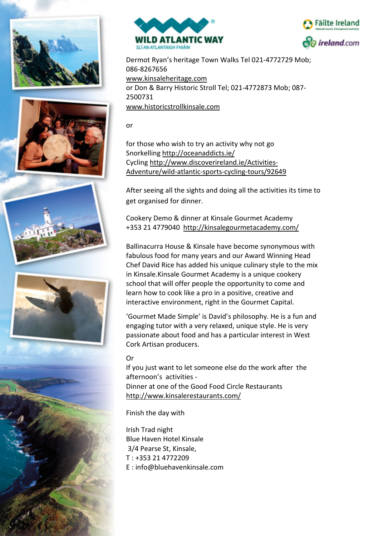













Dermot Ryan's heritage Town Walks Tel 021-4772729 Mob; 086-8267656 [www.kinsaleheritage.com](http://www.kinsaleheritage.com/) or Don & Barry Historic Stroll Tel; 021-4772873 Mob; 087- 2500731 [www.historicstrollkinsale.com](http://www.historicstrollkinsale.com/)

or

for those who wish to try an activity why not go Snorkellin[g http://oceanaddicts.ie/](http://oceanaddicts.ie/) Cycling [http://www.discoverireland.ie/Activities-](http://www.discoverireland.ie/Activities-Adventure/wild-atlantic-sports-cycling-tours/92649)[Adventure/wild-atlantic-sports-cycling-tours/92649](http://www.discoverireland.ie/Activities-Adventure/wild-atlantic-sports-cycling-tours/92649)

After seeing all the sights and doing all the activities its time to get organised for dinner.

Cookery Demo & dinner at Kinsale Gourmet Academy +353 21 4779040 <http://kinsalegourmetacademy.com/>

Ballinacurra House & Kinsale have become synonymous with fabulous food for many years and our Award Winning Head Chef David Rice has added his unique culinary style to the mix in Kinsale.Kinsale Gourmet Academy is a unique cookery school that will offer people the opportunity to come and learn how to cook like a pro in a positive, creative and interactive environment, right in the Gourmet Capital.

'Gourmet Made Simple' is David's philosophy. He is a fun and engaging tutor with a very relaxed, unique style. He is very passionate about food and has a particular interest in West Cork Artisan producers.

# Or

If you just want to let someone else do the work after the afternoon's activities - Dinner at one of the Good Food Circle Restaurants <http://www.kinsalerestaurants.com/>

Finish the day with

Irish Trad night Blue Haven Hotel Kinsale 3/4 Pearse St, Kinsale, T : [+353 21 4772209](tel:+353214772209) E : info@bluehavenkinsale.com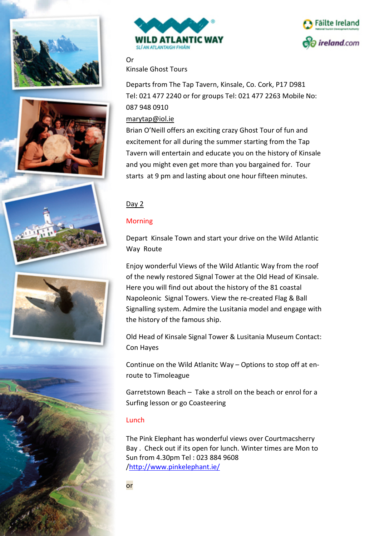













Or Kinsale Ghost Tours

Departs from The Tap Tavern, Kinsale, Co. Cork, P17 D981 Tel: 021 477 2240 or for groups Tel: 021 477 2263 Mobile No: 087 948 0910

### [marytap@iol.ie](mailto:marytap@iol.ie)

Brian O'Neill offers an exciting crazy Ghost Tour of fun and excitement for all during the summer starting from the Tap Tavern will entertain and educate you on the history of Kinsale and you might even get more than you bargained for. Tour starts at 9 pm and lasting about one hour fifteen minutes.

### Day 2

### Morning

Depart Kinsale Town and start your drive on the Wild Atlantic Way Route

Enjoy wonderful Views of the Wild Atlantic Way from the roof of the newly restored Signal Tower at the Old Head of Kinsale. Here you will find out about the history of the 81 coastal Napoleonic Signal Towers. View the re-created Flag & Ball Signalling system. Admire the Lusitania model and engage with the history of the famous ship.

Old Head of Kinsale Signal Tower & Lusitania Museum Contact: Con Hayes

Continue on the Wild Atlanitc Way – Options to stop off at enroute to Timoleague

Garretstown Beach – Take a stroll on the beach or enrol for a Surfing lesson or go Coasteering

### Lunch

The Pink Elephant has wonderful views over Courtmacsherry Bay . Check out if its open for lunch. Winter times are Mon to Sun from 4.30pm Tel : 023 884 9608 [/http://www.pinkelephant.ie/](http://www.pinkelephant.ie/)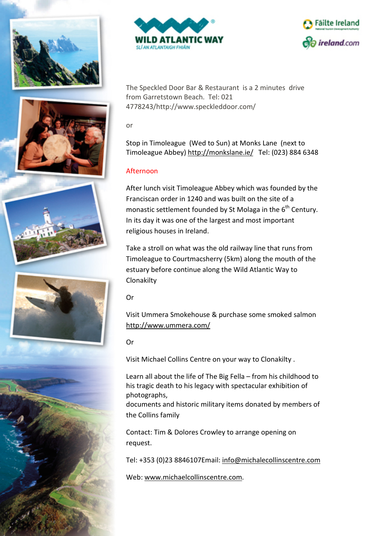













The Speckled Door Bar & Restaurant is a 2 minutes drive from Garretstown Beach. Tel: 021 4778243/http://www.speckleddoor.com/

or

Stop in Timoleague (Wed to Sun) at Monks Lane (next to Timoleague Abbey)<http://monkslane.ie/>Tel: (023) 884 6348

# Afternoon

After lunch visit Timoleague Abbey which was founded by the Franciscan order in 1240 and was built on the site of a monastic settlement founded by St Molaga in the  $6<sup>th</sup>$  Century. In its day it was one of the largest and most important religious houses in Ireland.

Take a stroll on what was the old railway line that runs from Timoleague to Courtmacsherry (5km) along the mouth of the estuary before continue along the Wild Atlantic Way to Clonakilty

Or

Visit Ummera Smokehouse & purchase some smoked salmon <http://www.ummera.com/>

Or

Visit Michael Collins Centre on your way to Clonakilty .

Learn all about the life of The Big Fella – from his childhood to his tragic death to his legacy with spectacular exhibition of photographs,

documents and historic military items donated by members of the Collins family

Contact: Tim & Dolores Crowley to arrange opening on request.

Tel: +353 (0)23 8846107Email: [info@michalecollinscentre.com](mailto:info@michalecollinscentre.com)

Web: [www.michaelcollinscentre.com.](http://www.michaelcollinscentre.com/)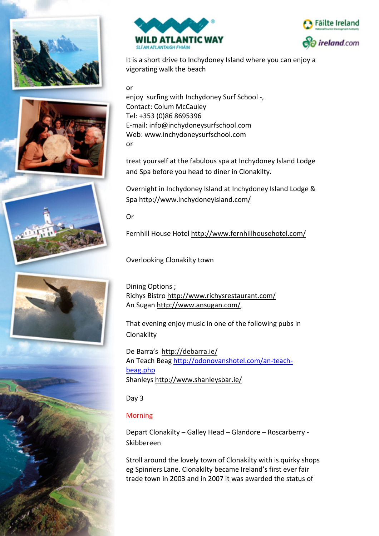













It is a short drive to Inchydoney Island where you can enjoy a vigorating walk the beach

or

enjoy surfing with Inchydoney Surf School -, Contact: Colum McCauley Tel: +353 (0)86 8695396 E-mail: info@inchydoneysurfschool.com Web: www.inchydoneysurfschool.com or

treat yourself at the fabulous spa at Inchydoney Island Lodge and Spa before you head to diner in Clonakilty.

Overnight in Inchydoney Island at Inchydoney Island Lodge & Spa<http://www.inchydoneyisland.com/>

Or

Fernhill House Hotel<http://www.fernhillhousehotel.com/>

Overlooking Clonakilty town

Dining Options ; Richys Bistr[o http://www.richysrestaurant.com/](http://www.richysrestaurant.com/) An Sugan<http://www.ansugan.com/>

That evening enjoy music in one of the following pubs in Clonakilty

De Barra's <http://debarra.ie/> An Teach Beag [http://odonovanshotel.com/an-teach](http://odonovanshotel.com/an-teach-beag.php)[beag.php](http://odonovanshotel.com/an-teach-beag.php) Shanleys<http://www.shanleysbar.ie/>

Day 3

# Morning

Depart Clonakilty – Galley Head – Glandore – Roscarberry - Skibbereen

Stroll around the lovely town of Clonakilty with is quirky shops eg Spinners Lane. Clonakilty became Ireland's first ever fair trade town in 2003 and in 2007 it was awarded the status of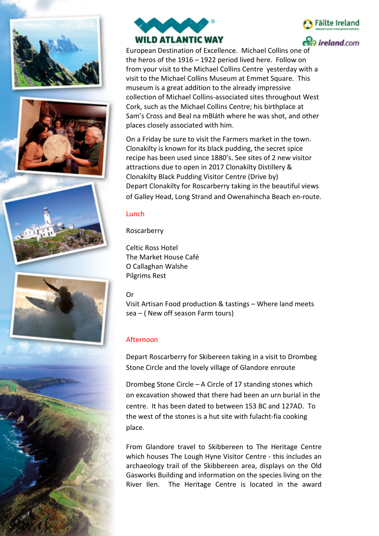













**So ireland** com

European Destination of Excellence. Michael Collins one of the heros of the 1916 – 1922 period lived here. Follow on from your visit to the Michael Collins Centre yesterday with a visit to the Michael Collins Museum at Emmet Square. This museum is a great addition to the already impressive collection of Michael Collins-associated sites throughout West Cork, such as the Michael Collins Centre; his birthplace at Sam's Cross and Beal na mBláth where he was shot, and other places closely associated with him.

On a Friday be sure to visit the Farmers market in the town. Clonakilty is known for its black pudding, the secret spice recipe has been used since 1880's. See sites of 2 new visitor attractions due to open in 2017 Clonakilty Distillery & Clonakilty Black Pudding Visitor Centre (Drive by) Depart Clonakilty for Roscarberry taking in the beautiful views of Galley Head, Long Strand and Owenahincha Beach en-route.

### Lunch

Roscarberry

Celtic Ross Hotel The Market House Café O Callaghan Walshe Pilgrims Rest

### Or

Visit Artisan Food production & tastings – Where land meets sea – ( New off season Farm tours)

# Afternoon

Depart Roscarberry for Skibereen taking in a visit to Drombeg Stone Circle and the lovely village of Glandore enroute

Drombeg Stone Circle – A Circle of 17 standing stones which on excavation showed that there had been an urn burial in the centre. It has been dated to between 153 BC and 127AD. To the west of the stones is a hut site with fulacht-fia cooking place.

From Glandore travel to Skibbereen to The Heritage Centre which houses The Lough Hyne Visitor Centre - this includes an archaeology trail of the Skibbereen area, displays on the Old Gasworks Building and information on the species living on the River Ilen. The Heritage Centre is located in the award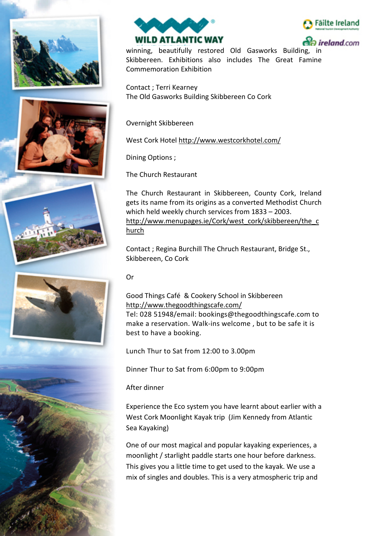





ireland.com

winning, beautifully restored Old Gasworks Building, in Skibbereen. Exhibitions also includes The Great Famine Commemoration Exhibition

Contact ; Terri Kearney The Old Gasworks Building Skibbereen Co Cork

Overnight Skibbereen

West Cork Hotel<http://www.westcorkhotel.com/>

Dining Options ;

The Church Restaurant

The Church Restaurant in Skibbereen, County Cork, Ireland gets its name from its origins as a converted Methodist Church which held weekly church services from 1833 – 2003. [http://www.menupages.ie/Cork/west\\_cork/skibbereen/the\\_c](http://www.menupages.ie/Cork/west_cork/skibbereen/the_church) [hurch](http://www.menupages.ie/Cork/west_cork/skibbereen/the_church)

Contact ; Regina Burchill The Chruch Restaurant, Bridge St., Skibbereen, Co Cork

Or

Good Things Café & Cookery School in Skibbereen <http://www.thegoodthingscafe.com/> Tel: 028 51948/email: bookings@thegoodthingscafe.com to make a reservation. Walk-ins welcome , but to be safe it is best to have a booking.

Lunch Thur to Sat from 12:00 to 3.00pm

Dinner Thur to Sat from 6:00pm to 9:00pm

After dinner

Experience the Eco system you have learnt about earlier with a West Cork Moonlight Kayak trip (Jim Kennedy from Atlantic Sea Kayaking)

One of our most magical and popular kayaking experiences, a moonlight / starlight paddle starts one hour before darkness. This gives you a little time to get used to the kayak. We use a mix of singles and doubles. This is a very atmospheric trip and







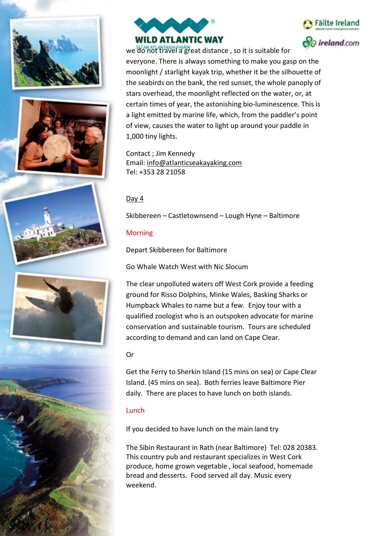













we do not travel a great distance , so it is suitable for everyone. There is always something to make you gasp on the moonlight / starlight kayak trip, whether it be the silhouette of the seabirds on the bank, the red sunset, the whole panoply of stars overhead, the moonlight reflected on the water, or, at certain times of year, the astonishing bio-luminescence. This is a light emitted by marine life, which, from the paddler's point of view, causes the water to light up around your paddle in 1,000 tiny lights.

Contact ; Jim Kennedy Email: [info@atlanticseakayaking.com](http://www.discoverireland.ie/Contact-Us/Consumer-Enquiry/?tid=10885) Tel: +353 28 21058

# Day 4

Skibbereen – Castletownsend – Lough Hyne – Baltimore

# Morning

Depart Skibbereen for Baltimore

Go Whale Watch West with Nic Slocum

The clear unpolluted waters off West Cork provide a feeding ground for Risso Dolphins, Minke Wales, Basking Sharks or Humpback Whales to name but a few. Enjoy tour with a qualified zoologist who is an outspoken advocate for marine conservation and sustainable tourism. Tours are scheduled according to demand and can land on Cape Clear.

# Or

Get the Ferry to Sherkin Island (15 mins on sea) or Cape Clear Island. (45 mins on sea). Both ferries leave Baltimore Pier daily. There are places to have lunch on both islands.

# Lunch

If you decided to have lunch on the main land try

The Sibin Restaurant in Rath (near Baltimore) Tel: 028 20383. This country pub and restaurant specializes in West Cork produce, home grown vegetable , local seafood, homemade bread and desserts. Food served all day. Music every weekend.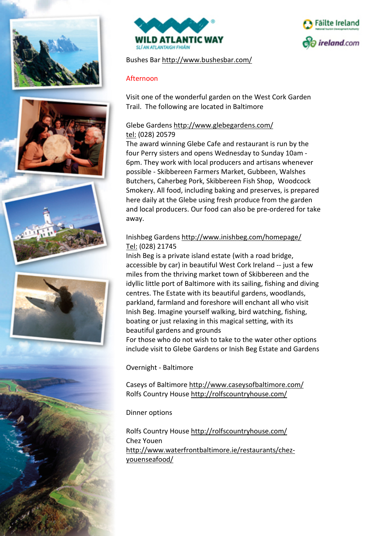











Bushes Bar<http://www.bushesbar.com/>

### Afternoon

Visit one of the wonderful garden on the West Cork Garden Trail. The following are located in Baltimore

## Glebe Gardens<http://www.glebegardens.com/> tel: (028) 20579

The award winning Glebe Cafe and restaurant is run by the four Perry sisters and opens Wednesday to Sunday 10am - 6pm. They work with local producers and artisans whenever possible - Skibbereen Farmers Market, Gubbeen, Walshes Butchers, Caherbeg Pork, Skibbereen Fish Shop, Woodcock Smokery. All food, including baking and preserves, is prepared here daily at the Glebe using fresh produce from the garden and local producers. Our food can also be pre-ordered for take away.

## Inishbeg Gardens<http://www.inishbeg.com/homepage/> Tel: (028) 21745

Inish Beg is a private island estate (with a road bridge, accessible by car) in beautiful [West Cork Ireland](http://www.inishbeg.com/west-cork-ireland/) -- just a few miles from the thriving market town of [Skibbereen](http://www.inishbeg.com/towns-of-west-cork/#/skibbereen) and the idyllic little port of [Baltimore](http://www.inishbeg.com/towns-of-west-cork/#/baltimore) with its sailing, fishing and diving centres. The Estate with its beautiful [gardens, woodlands,](http://www.inishbeg.com/gardens-woodlands/) parkland, farmland and foreshore will enchant all who visit Inish Beg. Imagine yourself walking, [bird watching,](http://www.inishbeg.com/birdwatching/) fishing, boating or just relaxing in this magical setting, with its beautiful gardens and grounds

For those who do not wish to take to the water other options include visit to Glebe Gardens or Inish Beg Estate and Gardens

Overnight - Baltimore

Caseys of Baltimore<http://www.caseysofbaltimore.com/> Rolfs Country House<http://rolfscountryhouse.com/>

#### Dinner options

Rolfs Country House<http://rolfscountryhouse.com/> Chez Youen [http://www.waterfrontbaltimore.ie/restaurants/chez](http://www.waterfrontbaltimore.ie/restaurants/chez-youenseafood/)[youenseafood/](http://www.waterfrontbaltimore.ie/restaurants/chez-youenseafood/)

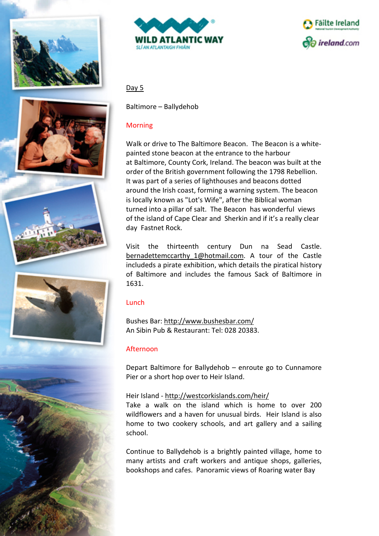





## Day 5

Baltimore – Ballydehob

### Morning

Walk or drive to The Baltimore Beacon. The Beacon is a whitepainted stone [beacon](https://en.wikipedia.org/wiki/Beacon) at the entrance to the harbour at [Baltimore, County Cork,](https://en.wikipedia.org/wiki/Baltimore,_County_Cork) Ireland. The beacon was built at the order of the British government following the [1798 Rebellion.](https://en.wikipedia.org/wiki/1798_Rebellion) It was part of a series of lighthouses and beacons dotted around the Irish coast, forming a warning system. The beacon is locally known as ["Lot's Wife"](https://en.wikipedia.org/wiki/Lot_(Bible)), after the [Biblical](https://en.wikipedia.org/wiki/Biblical) woman turned into a [pillar](https://en.wikipedia.org/wiki/Column) of salt. The Beacon has wonderful views of the island of Cape Clear and Sherkin and if it's a really clear day Fastnet Rock.

Visit the thirteenth century Dun na Sead Castle. bernadettemccarthy 1@hotmail.com. A tour of the Castle includeds a pirate exhibition, which details the piratical history of Baltimore and includes the famous Sack of Baltimore in 1631.

### Lunch

Bushes Bar: <http://www.bushesbar.com/> An Sibin Pub & Restaurant: Tel: 028 20383.

### Afternoon

Depart Baltimore for Ballydehob – enroute go to Cunnamore Pier or a short hop over to Heir Island.

### Heir Island - <http://westcorkislands.com/heir/>

Take a walk on the island which is home to over 200 wildflowers and a haven for unusual birds. Heir Island is also home to two cookery schools, and art gallery and a sailing school.

Continue to Ballydehob is a brightly painted village, home to many artists and craft workers and antique shops, galleries, bookshops and cafes. Panoramic views of Roaring water Bay